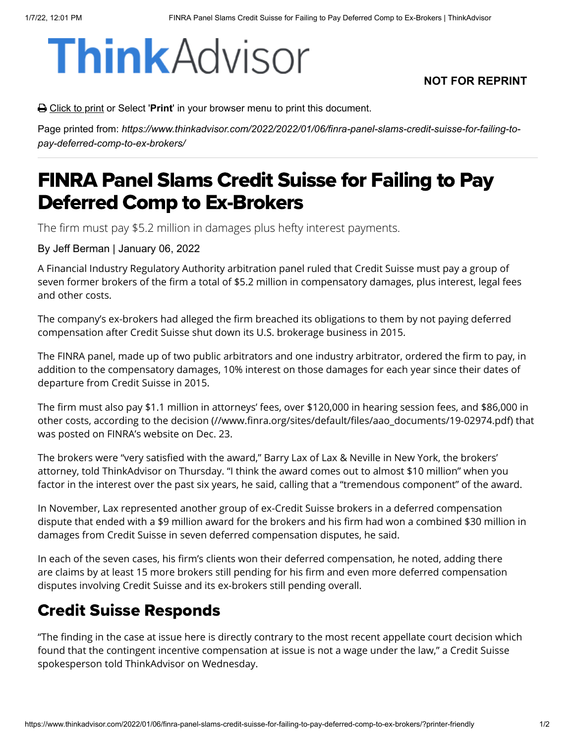# **Think** Advisor

#### **NOT FOR REPRINT**

**△** Click to print or Select '**Print'** in your browser menu to print this document.

Page printed from: *https://www.thinkadvisor.com/2022/2022/01/06/finra-panel-slams-credit-suisse-for-failing-topay-deferred-comp-to-ex-brokers/*

## FINRA Panel Slams Credit Suisse for Failing to Pay Deferred Comp to Ex-Brokers

The firm must pay \$5.2 million in damages plus hefty interest payments.

By Jeff Berman | January 06, 2022

A Financial Industry Regulatory Authority arbitration panel ruled that Credit Suisse must pay a group of seven former brokers of the firm a total of \$5.2 million in compensatory damages, plus interest, legal fees and other costs.

The company's ex-brokers had alleged the firm breached its obligations to them by not paying deferred compensation after Credit Suisse shut down its U.S. brokerage business in 2015.

The FINRA panel, made up of two public arbitrators and one industry arbitrator, ordered the firm to pay, in addition to the compensatory damages, 10% interest on those damages for each year since their dates of departure from Credit Suisse in 2015.

The firm must also pay \$1.1 million in attorneys' fees, over \$120,000 in hearing session fees, and \$86,000 in other costs, according to [the decision \(//www.finra.org/sites/default/files/aao\\_documents/19-02974.pdf\)](https://www.finra.org/sites/default/files/aao_documents/19-02974.pdf) that was posted on FINRA's website on Dec. 23.

The brokers were "very satisfied with the award," Barry Lax of Lax & Neville in New York, the brokers' attorney, told ThinkAdvisor on Thursday. "I think the award comes out to almost \$10 million" when you factor in the interest over the past six years, he said, calling that a "tremendous component" of the award.

In November, Lax represented another group of ex-Credit Suisse brokers in a deferred compensation dispute that ended with a \$9 million award for the brokers and his firm had won a combined \$30 million in damages from Credit Suisse in seven deferred compensation disputes, he said.

In each of the seven cases, his firm's clients won their deferred compensation, he noted, adding there are claims by at least 15 more brokers still pending for his firm and even more deferred compensation disputes involving Credit Suisse and its ex-brokers still pending overall.

#### Credit Suisse Responds

"The finding in the case at issue here is directly contrary to the most recent appellate court decision which found that the contingent incentive compensation at issue is not a wage under the law," a Credit Suisse spokesperson told ThinkAdvisor on Wednesday.